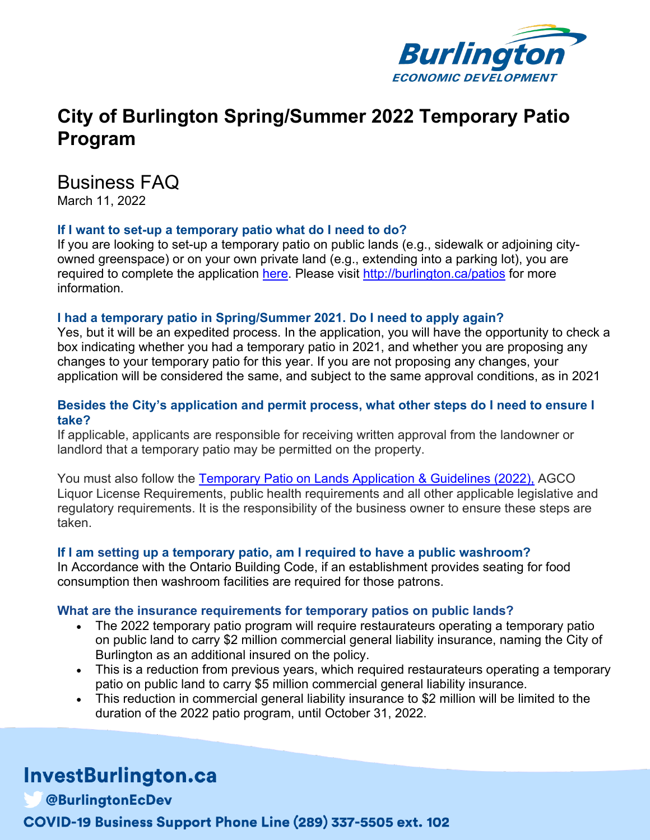

# **City of Burlington Spring/Summer 2022 Temporary Patio Program**

### Business FAQ

March 11, 2022

#### **If I want to set-up a temporary patio what do I need to do?**

If you are looking to set-up a temporary patio on public lands (e.g., sidewalk or adjoining cityowned greenspace) or on your own private land (e.g., extending into a parking lot), you are required to complete the application here. Please visit http://burlington.ca/patios for more information.

#### **I had a temporary patio in Spring/Summer 2021. Do I need to apply again?**

Yes, but it will be an expedited process. In the application, you will have the opportunity to check a box indicating whether you had a temporary patio in 2021, and whether you are proposing any changes to your temporary patio for this year. If you are not proposing any changes, your application will be considered the same, and subject to the same approval conditions, as in 2021

#### **Besides the City's application and permit process, what other steps do I need to ensure I take?**

If applicable, applicants are responsible for receiving written approval from the landowner or landlord that a temporary patio may be permitted on the property.

You must also follow the Temporary Patio on Lands Application & Guidelines (2022), AGCO Liquor License Requirements, public health requirements and all other applicable legislative and regulatory requirements. It is the responsibility of the business owner to ensure these steps are taken.

#### **If I am setting up a temporary patio, am I required to have a public washroom?**

In Accordance with the Ontario Building Code, if an establishment provides seating for food consumption then washroom facilities are required for those patrons.

#### **What are the insurance requirements for temporary patios on public lands?**

- The 2022 temporary patio program will require restaurateurs operating a temporary patio on public land to carry \$2 million commercial general liability insurance, naming the City of Burlington as an additional insured on the policy.
- This is a reduction from previous years, which required restaurateurs operating a temporary patio on public land to carry \$5 million commercial general liability insurance.
- This reduction in commercial general liability insurance to \$2 million will be limited to the duration of the 2022 patio program, until October 31, 2022.

# InvestBurlington.ca

**@BurlingtonEcDev** COVID-19 Business Support Phone Line (289) 337-5505 ext. 102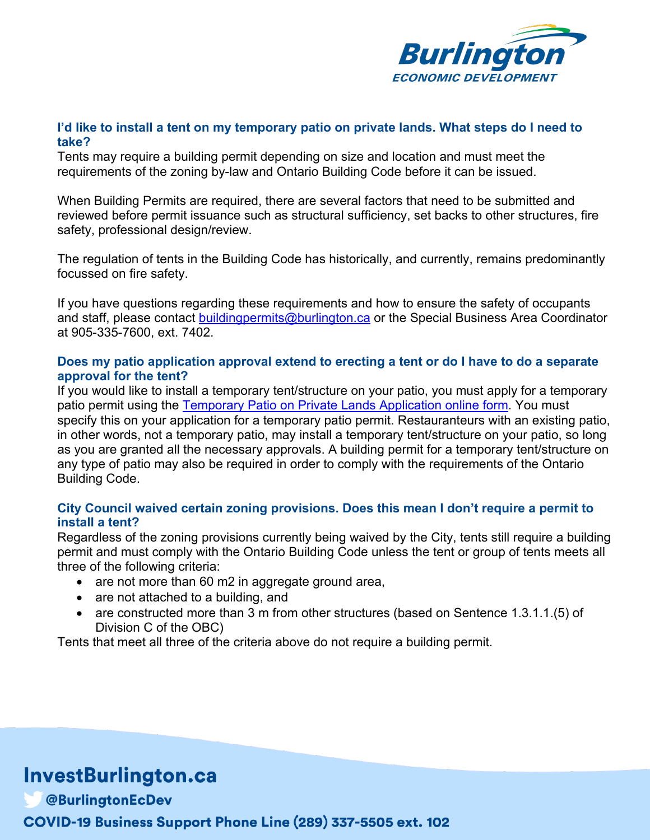

#### **I'd like to install a tent on my temporary patio on private lands. What steps do I need to take?**

Tents may require a building permit depending on size and location and must meet the requirements of the zoning by-law and Ontario Building Code before it can be issued.

When Building Permits are required, there are several factors that need to be submitted and reviewed before permit issuance such as structural sufficiency, set backs to other structures, fire safety, professional design/review.

The regulation of tents in the Building Code has historically, and currently, remains predominantly focussed on fire safety.

If you have questions regarding these requirements and how to ensure the safety of occupants and staff, please contact buildingpermits@burlington.ca or the Special Business Area Coordinator at 905-335-7600, ext. 7402.

#### **Does my patio application approval extend to erecting a tent or do I have to do a separate approval for the tent?**

If you would like to install a temporary tent/structure on your patio, you must apply for a temporary patio permit using the Temporary Patio on Private Lands Application online form. You must specify this on your application for a temporary patio permit. Restauranteurs with an existing patio, in other words, not a temporary patio, may install a temporary tent/structure on your patio, so long as you are granted all the necessary approvals. A building permit for a temporary tent/structure on any type of patio may also be required in order to comply with the requirements of the Ontario Building Code.

#### **City Council waived certain zoning provisions. Does this mean I don't require a permit to install a tent?**

Regardless of the zoning provisions currently being waived by the City, tents still require a building permit and must comply with the Ontario Building Code unless the tent or group of tents meets all three of the following criteria:

- are not more than 60 m2 in aggregate ground area,
- are not attached to a building, and
- are constructed more than 3 m from other structures (based on Sentence 1.3.1.1.(5) of Division C of the OBC)

Tents that meet all three of the criteria above do not require a building permit.

# **InvestBurlington.ca**

**@BurlingtonEcDev COVID-19 Business Support Phone Line (289) 337-5505 ext. 102**